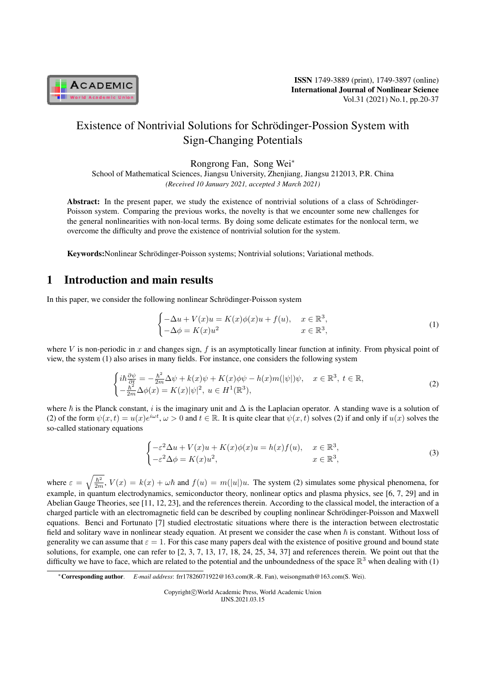

# Existence of Nontrivial Solutions for Schrödinger-Possion System with Sign-Changing Potentials

Rongrong Fan, Song Wei*<sup>∗</sup>*

School of Mathematical Sciences, Jiangsu University, Zhenjiang, Jiangsu 212013, P.R. China *(Received 10 January 2021, accepted 3 March 2021)*

Abstract: In the present paper, we study the existence of nontrivial solutions of a class of Schrödinger-Poisson system. Comparing the previous works, the novelty is that we encounter some new challenges for the general nonlinearities with non-local terms. By doing some delicate estimates for the nonlocal term, we overcome the difficulty and prove the existence of nontrivial solution for the system.

Keywords:Nonlinear Schrödinger-Poisson systems; Nontrivial solutions; Variational methods.

# 1 Introduction and main results

In this paper, we consider the following nonlinear Schrödinger-Poisson system

$$
\begin{cases}\n-\Delta u + V(x)u = K(x)\phi(x)u + f(u), & x \in \mathbb{R}^3, \\
-\Delta \phi = K(x)u^2 & x \in \mathbb{R}^3,\n\end{cases}
$$
\n(1)

where *V* is non-periodic in *x* and changes sign,  $f$  is an asymptotically linear function at infinity. From physical point of view, the system (1) also arises in many fields. For instance, one considers the following system

$$
\begin{cases} i\hbar \frac{\partial \psi}{\partial t} = -\frac{\hbar^2}{2m} \Delta \psi + k(x) \psi + K(x) \phi \psi - h(x) m(|\psi|) \psi, \quad x \in \mathbb{R}^3, \ t \in \mathbb{R}, \\ -\frac{\hbar^2}{2m} \Delta \phi(x) = K(x) |\psi|^2, \ u \in H^1(\mathbb{R}^3), \end{cases} \tag{2}
$$

where  $\hbar$  is the Planck constant, *i* is the imaginary unit and  $\Delta$  is the Laplacian operator. A standing wave is a solution of (2) of the form  $\psi(x,t) = u(x)e^{i\omega t}$ ,  $\omega > 0$  and  $t \in \mathbb{R}$ . It is quite clear that  $\psi(x,t)$  solves (2) if and only if  $u(x)$  solves the so-called stationary equations

$$
\begin{cases}\n-\varepsilon^2 \Delta u + V(x)u + K(x)\phi(x)u = h(x)f(u), & x \in \mathbb{R}^3, \\
-\varepsilon^2 \Delta \phi = K(x)u^2, & x \in \mathbb{R}^3,\n\end{cases}
$$
\n(3)

where  $\varepsilon = \sqrt{\frac{\hbar^2}{2m}}$ ,  $V(x) = k(x) + \omega\hbar$  and  $f(u) = m(|u|)u$ . The system (2) simulates some physical phenomena, for example, in quantum electrodynamics, semiconductor theory, nonlinear optics and plasma physics, see [6, 7, 29] and in Abelian Gauge Theories, see [11, 12, 23], and the references therein. According to the classical model, the interaction of a charged particle with an electromagnetic field can be described by coupling nonlinear Schrödinger-Poisson and Maxwell equations. Benci and Fortunato [7] studied electrostatic situations where there is the interaction between electrostatic field and solitary wave in nonlinear steady equation. At present we consider the case when  $\hbar$  is constant. Without loss of generality we can assume that  $\varepsilon = 1$ . For this case many papers deal with the existence of positive ground and bound state solutions, for example, one can refer to [2, 3, 7, 13, 17, 18, 24, 25, 34, 37] and references therein. We point out that the difficulty we have to face, which are related to the potential and the unboundedness of the space  $\mathbb{R}^3$  when dealing with (1)

*<sup>∗</sup>*Corresponding author. *E-mail address*: frr17826071922@163.com(R.-R. Fan), weisongmath@163.com(S. Wei).

Copyright*⃝*c World Academic Press, World Academic Union IJNS.2021.03.15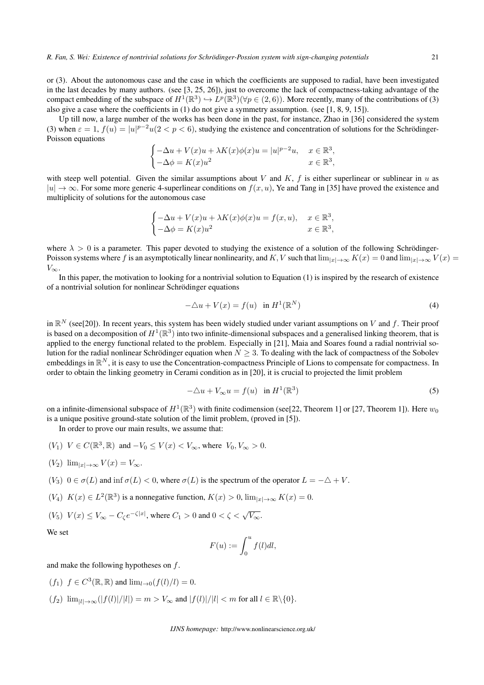or (3). About the autonomous case and the case in which the coefficients are supposed to radial, have been investigated in the last decades by many authors. (see [3, 25, 26]), just to overcome the lack of compactness-taking advantage of the compact embedding of the subspace of  $H^1(\mathbb{R}^3) \hookrightarrow L^p(\mathbb{R}^3)$  ( $\forall p \in (2,6)$ ). More recently, many of the contributions of (3) also give a case where the coefficients in  $(1)$  do not give a symmetry assumption. (see [1, 8, 9, 15]).

Up till now, a large number of the works has been done in the past, for instance, Zhao in [36] considered the system (3) when  $\varepsilon = 1$ ,  $f(u) = |u|^{p-2}u(2 < p < 6)$ , studying the existence and concentration of solutions for the Schrödinger-Poisson equations

$$
\begin{cases}\n-\Delta u + V(x)u + \lambda K(x)\phi(x)u = |u|^{p-2}u, & x \in \mathbb{R}^3, \\
-\Delta \phi = K(x)u^2 & x \in \mathbb{R}^3,\n\end{cases}
$$

with steep well potential. Given the similar assumptions about  $V$  and  $K$ ,  $f$  is either superlinear or sublinear in  $u$  as *|u| → ∞*. For some more generic 4-superlinear conditions on *f*(*x, u*), Ye and Tang in [35] have proved the existence and multiplicity of solutions for the autonomous case

$$
\begin{cases}\n-\Delta u + V(x)u + \lambda K(x)\phi(x)u = f(x, u), & x \in \mathbb{R}^3, \\
-\Delta \phi = K(x)u^2 & x \in \mathbb{R}^3,\n\end{cases}
$$

where  $\lambda > 0$  is a parameter. This paper devoted to studying the existence of a solution of the following Schrödinger-Poisson systems where *f* is an asymptotically linear nonlinearity, and *K*, *V* such that  $\lim_{|x|\to\infty} K(x) = 0$  and  $\lim_{|x|\to\infty} V(x) =$ *V∞*.

In this paper, the motivation to looking for a nontrivial solution to Equation (1) is inspired by the research of existence of a nontrivial solution for nonlinear Schrödinger equations

$$
-\triangle u + V(x) = f(u) \quad \text{in } H^1(\mathbb{R}^N)
$$
\n<sup>(4)</sup>

in R *<sup>N</sup>* (see[20]). In recent years, this system has been widely studied under variant assumptions on *V* and *f*. Their proof is based on a decomposition of  $H^1(\Bbb R^3)$  into two infinite-dimensional subspaces and a generalised linking theorem, that is applied to the energy functional related to the problem. Especially in [21], Maia and Soares found a radial nontrivial solution for the radial nonlinear Schrödinger equation when  $N \geq 3$ . To dealing with the lack of compactness of the Sobolev embeddings in  $\mathbb{R}^N$ , it is easy to use the Concentration-compactness Principle of Lions to compensate for compactness. In order to obtain the linking geometry in Cerami condition as in [20], it is crucial to projected the limit problem

$$
-\triangle u + V_{\infty}u = f(u) \quad \text{in } H^{1}(\mathbb{R}^{3})
$$
\n<sup>(5)</sup>

on a infinite-dimensional subspace of  $H^1(\mathbb{R}^3)$  with finite codimension (see[22, Theorem 1] or [27, Theorem 1]). Here  $w_0$ is a unique positive ground-state solution of the limit problem, (proved in [5]).

In order to prove our main results, we assume that:

- $(V_1)$   $V \in C(\mathbb{R}^3, \mathbb{R})$  and  $-V_0 \le V(x) < V_\infty$ , where  $V_0, V_\infty > 0$ .
- $(V_2)$   $\lim_{|x| \to \infty} V(x) = V_\infty$ .
- $(V_3)$   $0 \in \sigma(L)$  and inf  $\sigma(L) < 0$ , where  $\sigma(L)$  is the spectrum of the operator  $L = -\Delta + V$ .
- $(V_4)$   $K(x) \in L^2(\mathbb{R}^3)$  is a nonnegative function,  $K(x) > 0$ ,  $\lim_{|x| \to \infty} K(x) = 0$ .
- $(V_5)$   $V(x) \leq V_{\infty} C_{\zeta} e^{-\zeta |x|}$ , where  $C_1 > 0$  and  $0 < \zeta < \sqrt{V_{\infty}}$ .

We set

$$
F(u) := \int_0^u f(l) \, dl,
$$

and make the following hypotheses on *f*.

- $(f_1)$   $f \in C^3(\mathbb{R}, \mathbb{R})$  and  $\lim_{l \to 0} (f(l)/l) = 0$ .
- $(f_2)$   $\lim_{|l|\to\infty} (|f(l)|/|l|) = m > V_{\infty}$  and  $|f(l)|/|l| < m$  for all  $l \in \mathbb{R} \setminus \{0\}.$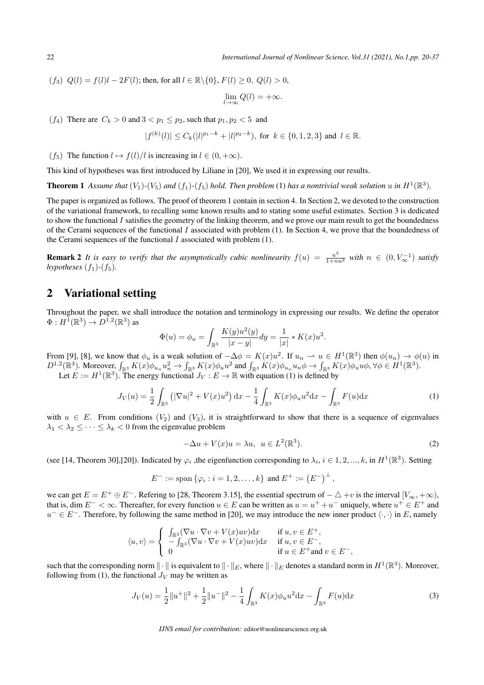22 *International Journal of Nonlinear Science, Vol.31 (2021), No.1,pp. 20-37*

(*f*<sub>3</sub>)  $Q(l) = f(l)l - 2F(l)$ ; then, for all  $l \in \mathbb{R} \setminus \{0\}$ ,  $F(l) \geq 0$ ,  $Q(l) > 0$ ,

$$
\lim_{l \to \infty} Q(l) = +\infty.
$$

(*f*<sub>4</sub>) There are  $C_k > 0$  and  $3 < p_1 \leq p_2$ , such that  $p_1, p_2 < 5$  and

$$
|f^{(k)}(l)| \le C_k(|l|^{p_1-k} + |l|^{p_2-k}), \text{ for } k \in \{0,1,2,3\} \text{ and } l \in \mathbb{R}.
$$

(*f*<sub>5</sub>) The function  $l \mapsto f(l)/l$  is increasing in  $l \in (0, +\infty)$ .

This kind of hypotheses was first introduced by Liliane in [20], We used it in expressing our results.

**Theorem 1** Assume that  $(V_1)$ - $(V_5)$  and  $(f_1)$ - $(f_5)$  hold. Then problem (1) has a nontrivial weak solution  $u$  in  $H^1(\mathbb{R}^3)$ .

The paper is organized as follows. The proof of theorem 1 contain in section 4. In Section 2, we devoted to the construction of the variational framework, to recalling some known results and to stating some useful estimates. Section 3 is dedicated to show the functional *I* satisfies the geometry of the linking theorem, and we prove our main result to get the boundedness of the Cerami sequences of the functional *I* associated with problem (1). In Section 4, we prove that the boundedness of the Cerami sequences of the functional *I* associated with problem (1).

**Remark 2** It is easy to verify that the asymptotically cubic nonlinearity  $f(u) = \frac{u^3}{1+nu^2}$  with  $n \in (0, V_\infty^{-1})$  satisfy *hypotheses*  $(f_1)$ - $(f_5)$ .

#### 2 Variational setting

Throughout the paper, we shall introduce the notation and terminology in expressing our results. We define the operator  $\Phi: H^1(\mathbb{R}^3) \to D^{1,2}(\mathbb{R}^3)$  as

$$
\Phi(u) = \phi_u = \int_{\mathbb{R}^3} \frac{K(y)u^2(y)}{|x - y|} dy = \frac{1}{|x|} * K(x)u^2.
$$

From [9], [8], we know that  $\phi_u$  is a weak solution of  $-\Delta \phi = K(x)u^2$ . If  $u_n \to u \in H^1(\mathbb{R}^3)$  then  $\phi(u_n) \to \phi(u)$  in  $D^{1,2}(\mathbb{R}^3)$ . Moreover,  $\int_{\mathbb{R}^3} K(x)\phi_{u_n}u_n^2 \to \int_{\mathbb{R}^3} K(x)\phi_u u^2$  and  $\int_{\mathbb{R}^3} K(x)\phi_{u_n}u_n \phi \to \int_{\mathbb{R}^3} K(x)\phi_u u \phi$ ,  $\forall \phi \in H^1(\mathbb{R}^3)$ .

Let  $E := H^1(\mathbb{R}^3)$ . The energy functional  $J_V : E \to \mathbb{R}$  with equation (1) is defined by

$$
J_V(u) = \frac{1}{2} \int_{\mathbb{R}^3} \left( |\nabla u|^2 + V(x) u^2 \right) dx - \frac{1}{4} \int_{\mathbb{R}^3} K(x) \phi_u u^2 dx - \int_{\mathbb{R}^3} F(u) dx \tag{1}
$$

with  $u \in E$ . From conditions  $(V_2)$  and  $(V_3)$ , it is straightforward to show that there is a sequence of eigenvalues  $\lambda_1 < \lambda_2 \leq \cdots \leq \lambda_k < 0$  from the eigenvalue problem

$$
-\Delta u + V(x)u = \lambda u, \ u \in L^{2}(\mathbb{R}^{3}).
$$
\n(2)

(see [14, Theorem 30], [20]). Indicated by  $\varphi_i$ , the eigenfunction corresponding to  $\lambda_i$ ,  $i \in 1, 2, ..., k$ , in  $H^1(\mathbb{R}^3)$ . Setting

$$
E^- := \text{span} \left\{ \varphi_i : i = 1, 2, \dots, k \right\} \text{ and } E^+ := \left( E^- \right)^{\perp},
$$

we can get  $E = E^+ \oplus E^-$ . Refering to [28, Theorem 3.15], the essential spectrum of  $-\triangle + v$  is the interval  $[V_\infty, +\infty)$ , that is, dim  $E^- < \infty$ . Thereafter, for every function  $u \in E$  can be written as  $u = u^+ + u^-$  uniquely, where  $u^+ \in E^+$  and *u*<sup>−</sup>  $∈$  *E*<sup>−</sup>. Therefore, by following the same method in [20], we may introduce the new inner product  $\langle \cdot, \cdot \rangle$  in *E*, namely

$$
\langle u, v \rangle = \begin{cases} \int_{\mathbb{R}^3} (\nabla u \cdot \nabla v + V(x)uv) dx & \text{if } u, v \in E^+, \\ -\int_{\mathbb{R}^3} (\nabla u \cdot \nabla v + V(x)uv) dx & \text{if } u, v \in E^-, \\ 0 & \text{if } u \in E^+ \text{and } v \in E^-, \end{cases}
$$

such that the corresponding norm  $\|\cdot\|$  is equivalent to  $\|\cdot\|_E$ , where  $\|\cdot\|_E$  denotes a standard norm in  $H^1(\mathbb{R}^3).$  Moreover, following from (1), the functional  $J_V$  may be written as

$$
J_V(u) = \frac{1}{2} ||u^+||^2 + \frac{1}{2} ||u^-||^2 - \frac{1}{4} \int_{\mathbb{R}^3} K(x) \phi_u u^2 dx - \int_{\mathbb{R}^3} F(u) dx \tag{3}
$$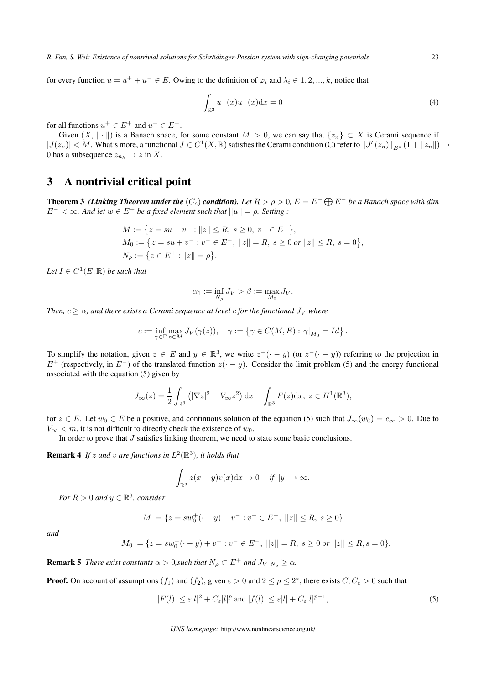*R. Fan, S. Wei: Existence of nontrivial solutions for Schrodinger-Possion system with sign-changing potentials ¨* 23

for every function  $u = u^+ + u^- \in E$ . Owing to the definition of  $\varphi_i$  and  $\lambda_i \in 1, 2, ..., k$ , notice that

$$
\int_{\mathbb{R}^3} u^+(x)u^-(x)dx = 0\tag{4}
$$

for all functions  $u^+ \in E^+$  and  $u^- \in E^-$ .

Given  $(X, \| \cdot \|)$  is a Banach space, for some constant  $M > 0$ , we can say that  $\{z_n\} \subset X$  is Cerami sequence if  $|J(z_n)| < M$ . What's more, a functional  $J \in C^1(X,\mathbb{R})$  satisfies the Cerami condition (C) refer to  $||J'(z_n)||_{E^*}$   $(1 + ||z_n||) \rightarrow$ 0 has a subsequence  $z_{n_k} \to z$  in X.

## 3 A nontrivial critical point

**Theorem 3** *(Linking Theorem under the*  $(C_c)$  *condition).* Let  $R > \rho > 0$ ,  $E = E^+ \bigoplus E^-$  be a Banach space with dim  $E^{-} < \infty$ *. And let*  $w \in E^{+}$  *be a fixed element such that*  $||u|| = \rho$ *. Setting :* 

$$
M := \{ z = su + v^- : ||z|| \le R, s \ge 0, v^- \in E^- \},
$$
  
\n
$$
M_0 := \{ z = su + v^- : v^- \in E^-, ||z|| = R, s \ge 0 \text{ or } ||z|| \le R, s = 0 \},
$$
  
\n
$$
N_\rho := \{ z \in E^+ : ||z|| = \rho \}.
$$

 $Let I \in C^1(E, \mathbb{R})$  *be such that* 

$$
\alpha_1 := \inf_{N_\rho} J_V > \beta := \max_{M_0} J_V.
$$

*Then,*  $c \geq \alpha$ *, and there exists a Cerami sequence at level c for the functional*  $J_V$  *where* 

$$
c := \inf_{\gamma \in \Gamma} \max_{z \in M} J_V(\gamma(z)), \quad \gamma := \left\{ \gamma \in C(M, E) : \gamma|_{M_0} = Id \right\}.
$$

To simplify the notation, given  $z \in E$  and  $y \in \mathbb{R}^3$ , we write  $z^+(\cdot - y)$  (or  $z^-(\cdot - y)$ ) referring to the projection in *E*<sup>+</sup> (respectively, in *E*<sup>−</sup>) of the translated function  $z(· - y)$ . Consider the limit problem (5) and the energy functional associated with the equation (5) given by

$$
J_{\infty}(z) = \frac{1}{2} \int_{\mathbb{R}^3} (|\nabla z|^2 + V_{\infty} z^2) \, dx - \int_{\mathbb{R}^3} F(z) dx, \ z \in H^1(\mathbb{R}^3),
$$

for  $z \in E$ . Let  $w_0 \in E$  be a positive, and continuous solution of the equation (5) such that  $J_\infty(w_0) = c_\infty > 0$ . Due to  $V_{\infty}$  *< m*, it is not difficult to directly check the existence of  $w_0$ .

In order to prove that *J* satisfies linking theorem, we need to state some basic conclusions.

**Remark 4** If *z* and *v* are functions in  $L^2(\mathbb{R}^3)$ , it holds that

$$
\int_{\mathbb{R}^3} z(x-y)v(x) \mathrm{d} x \to 0 \quad \text{if } |y| \to \infty.
$$

*For*  $R > 0$  *and*  $y \in \mathbb{R}^3$ *, consider* 

$$
M = \{ z = sw_0^+(-y) + v^- : v^- \in E^-, ||z|| \le R, s \ge 0 \}
$$

*and*

$$
M_0 = \{ z = sw_0^+(-y) + v^- : v^- \in E^-, ||z|| = R, s \ge 0 \text{ or } ||z|| \le R, s = 0 \}.
$$

**Remark 5** *There exist constants*  $\alpha > 0$ *, such that*  $N_\rho \subset E^+$  *and*  $J_V|_{N_\rho} \geq \alpha$ *.* 

**Proof.** On account of assumptions  $(f_1)$  and  $(f_2)$ , given  $\varepsilon > 0$  and  $2 \le p \le 2^*$ , there exists  $C, C_{\varepsilon} > 0$  such that

$$
|F(l)| \le \varepsilon |l|^2 + C_{\varepsilon}|l|^p \text{ and } |f(l)| \le \varepsilon |l| + C_{\varepsilon}|l|^{p-1},\tag{5}
$$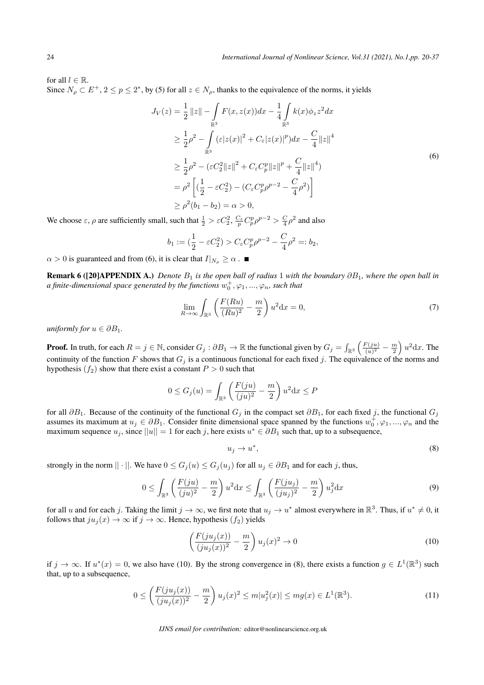for all  $l \in \mathbb{R}$ . Since  $N_\rho \subset E^+, 2 \le p \le 2^*$ , by (5) for all  $z \in N_\rho$ , thanks to the equivalence of the norms, it yields

$$
J_V(z) = \frac{1}{2} ||z|| - \int_{\mathbb{R}^3} F(x, z(x)) dx - \frac{1}{4} \int_{\mathbb{R}^3} k(x) \phi_z z^2 dx
$$
  
\n
$$
\geq \frac{1}{2} \rho^2 - \int_{\mathbb{R}^3} (\varepsilon |z(x)|^2 + C_{\varepsilon} |z(x)|^p) dx - \frac{C}{4} ||z||^4
$$
  
\n
$$
\geq \frac{1}{2} \rho^2 - (\varepsilon C_2^2 ||z||^2 + C_{\varepsilon} C_p^p ||z||^p + \frac{C}{4} ||z||^4)
$$
  
\n
$$
= \rho^2 \left[ (\frac{1}{2} - \varepsilon C_2^2) - (C_{\varepsilon} C_p^p \rho^{p-2} - \frac{C}{4} \rho^2) \right]
$$
  
\n
$$
\geq \rho^2 (b_1 - b_2) = \alpha > 0,
$$
 (6)

We choose  $\varepsilon$ ,  $\rho$  are sufficiently small, such that  $\frac{1}{2} > \varepsilon C_2^2$ ,  $\frac{C_\varepsilon}{p}C_p^p\rho^{p-2} > \frac{C}{4}\rho^2$  and also

$$
b_1 := (\frac{1}{2} - \varepsilon C_2^2) > C_{\varepsilon} C_p^p \rho^{p-2} - \frac{C}{4} \rho^2 =: b_2,
$$

 $\alpha > 0$  is guaranteed and from (6), it is clear that  $I|_{N_o} \geq \alpha$ .

**Remark 6 ([20]APPENDIX A.)** *Denote*  $B_1$  *is the open ball of radius* 1 *with the boundary*  $\partial B_1$ *, where the open ball in*  $a$  finite-dimensional space generated by the functions  $w_0^+,\varphi_1,...,\varphi_n$ , such that

$$
\lim_{R \to \infty} \int_{\mathbb{R}^3} \left( \frac{F(Ru)}{(Ru)^2} - \frac{m}{2} \right) u^2 dx = 0,
$$
\n(7)

*uniformly for*  $u \in \partial B_1$ .

**Proof.** In truth, for each  $R = j \in \mathbb{N}$ , consider  $G_j : \partial B_1 \to \mathbb{R}$  the functional given by  $G_j = \int_{\mathbb{R}^3}$  $\int$  *F* $(ju)$  $\frac{f'(ju)}{(u)^2} - \frac{m}{2}$  $\int u^2 dx$ . The continuity of the function *F* shows that  $G_i$  is a continuous functional for each fixed *j*. The equivalence of the norms and hypothesis  $(f_2)$  show that there exist a constant  $P > 0$  such that

$$
0 \le G_j(u) = \int_{\mathbb{R}^3} \left( \frac{F(ju)}{(ju)^2} - \frac{m}{2} \right) u^2 dx \le P
$$

for all  $\partial B_1$ . Because of the continuity of the functional  $G_j$  in the compact set  $\partial B_1$ , for each fixed *j*, the functional  $G_j$ assumes its maximum at  $u_j \in \partial B_1$ . Consider finite dimensional space spanned by the functions  $w_0^+, \varphi_1, ..., \varphi_n$  and the maximum sequence  $u_j$ , since  $||u|| = 1$  for each *j*, here exists  $u^* \in \partial B_1$  such that, up to a subsequence,

$$
u_j \to u^*,\tag{8}
$$

strongly in the norm  $|| \cdot ||$ . We have  $0 \le G_i(u) \le G_i(u_j)$  for all  $u_j \in \partial B_1$  and for each *j*, thus,

$$
0 \le \int_{\mathbb{R}^3} \left( \frac{F(ju)}{(ju)^2} - \frac{m}{2} \right) u^2 dx \le \int_{\mathbb{R}^3} \left( \frac{F(ju_j)}{(ju_j)^2} - \frac{m}{2} \right) u_j^2 dx \tag{9}
$$

for all *u* and for each *j*. Taking the limit  $j \to \infty$ , we first note that  $u_j \to u^*$  almost everywhere in  $\mathbb{R}^3$ . Thus, if  $u^* \neq 0$ , it follows that  $ju_j(x) \to \infty$  if  $j \to \infty$ . Hence, hypothesis  $(f_2)$  yields

$$
\left(\frac{F(ju_j(x))}{(ju_j(x))^2} - \frac{m}{2}\right)u_j(x)^2 \to 0\tag{10}
$$

if  $j \to \infty$ . If  $u^*(x) = 0$ , we also have (10). By the strong convergence in (8), there exists a function  $g \in L^1(\mathbb{R}^3)$  such that, up to a subsequence,

$$
0 \le \left(\frac{F(ju_j(x))}{(ju_j(x))^2} - \frac{m}{2}\right)u_j(x)^2 \le m|u_j^2(x)| \le mg(x) \in L^1(\mathbb{R}^3). \tag{11}
$$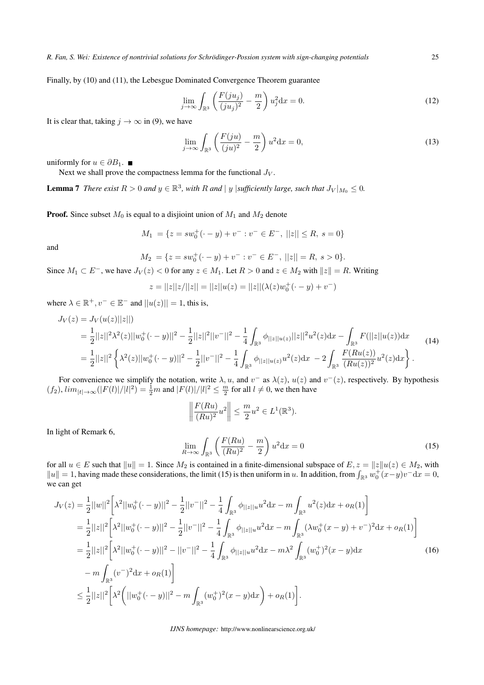Finally, by (10) and (11), the Lebesgue Dominated Convergence Theorem guarantee

$$
\lim_{j \to \infty} \int_{\mathbb{R}^3} \left( \frac{F(ju_j)}{(ju_j)^2} - \frac{m}{2} \right) u_j^2 dx = 0.
$$
\n(12)

It is clear that, taking  $j \to \infty$  in (9), we have

$$
\lim_{j \to \infty} \int_{\mathbb{R}^3} \left( \frac{F(ju)}{(ju)^2} - \frac{m}{2} \right) u^2 dx = 0,
$$
\n(13)

uniformly for  $u \in \partial B_1$ .  $\blacksquare$ 

Next we shall prove the compactness lemma for the functional *J<sup>V</sup>* .

**Lemma 7** There exist  $R > 0$  and  $y \in \mathbb{R}^3$ , with R and  $|y|$  sufficiently large, such that  $J_V|_{M_0} \leq 0$ .

**Proof.** Since subset  $M_0$  is equal to a disjioint union of  $M_1$  and  $M_2$  denote

$$
M_1 = \{ z = sw_0^+ (\cdot - y) + v^- : v^- \in E^-, ||z|| \le R, s = 0 \}
$$

and

 $M_2 = \{z = sw_0^+(-y) + v^- : v^- \in E^-, ||z|| = R, s > 0\}.$ 

Since  $M_1 \subset E^-$ , we have  $J_V(z) < 0$  for any  $z \in M_1$ . Let  $R > 0$  and  $z \in M_2$  with  $||z|| = R$ . Writing

$$
z = ||z||z/||z|| = ||z||u(z) = ||z||(\lambda(z)w_0^+(\cdot - y) + v^-)
$$

where  $\lambda \in \mathbb{R}^+, v^- \in \mathbb{E}^-$  and  $||u(z)|| = 1$ , this is,

$$
J_V(z) = J_V(u(z)||z||)
$$
  
=  $\frac{1}{2}||z||^2 \lambda^2(z)||w_0^+(\cdot - y)||^2 - \frac{1}{2}||z||^2||v^-||^2 - \frac{1}{4} \int_{\mathbb{R}^3} \phi_{||z||u(z)}||z||^2 u^2(z) dx - \int_{\mathbb{R}^3} F(||z||u(z)) dx$   
=  $\frac{1}{2}||z||^2 \left\{ \lambda^2(z)||w_0^+(\cdot - y)||^2 - \frac{1}{2}||v^-||^2 - \frac{1}{4} \int_{\mathbb{R}^3} \phi_{||z||u(z)} u^2(z) dx - 2 \int_{\mathbb{R}^3} \frac{F(Ru(z))}{(Ru(z))^2} u^2(z) dx \right\}.$  (14)

For convenience we simplify the notation, write  $\lambda$ , u, and  $v^-$  as  $\lambda(z)$ ,  $u(z)$  and  $v^-(z)$ , respectively. By hypothesis  $(f_2)$ ,  $\lim_{|t| \to \infty} (|F(l)|/|l|^2) = \frac{1}{2}m$  and  $|F(l)|/|l|^2 \leq \frac{m}{2}$  for all  $l \neq 0$ , we then have

$$
\left\| \frac{F(Ru)}{(Ru)^2} u^2 \right\| \le \frac{m}{2} u^2 \in L^1(\mathbb{R}^3).
$$

In light of Remark 6,

$$
\lim_{R \to \infty} \int_{\mathbb{R}^3} \left( \frac{F(Ru)}{(Ru)^2} - \frac{m}{2} \right) u^2 dx = 0 \tag{15}
$$

for all  $u \in E$  such that  $||u|| = 1$ . Since  $M_2$  is contained in a finite-dimensional subspace of  $E, z = ||z||u(z) \in M_2$ , with  $||u|| = 1$ , having made these considerations, the limit (15) is then uniform in *u*. In addition, from  $\int_{\mathbb{R}^3} w_0^+(x-y)v^- dx = 0$ , we can get

$$
J_V(z) = \frac{1}{2}||w||^2 \left[ \lambda^2 ||w_0^+(\cdot - y)||^2 - \frac{1}{2} ||v^-||^2 - \frac{1}{4} \int_{\mathbb{R}^3} \phi_{||z||u} u^2 dx - m \int_{\mathbb{R}^3} u^2(z) dx + o_R(1) \right]
$$
  
\n
$$
= \frac{1}{2} ||z||^2 \left[ \lambda^2 ||w_0^+(\cdot - y)||^2 - \frac{1}{2} ||v^-||^2 - \frac{1}{4} \int_{\mathbb{R}^3} \phi_{||z||u} u^2 dx - m \int_{\mathbb{R}^3} (\lambda w_0^+(x - y) + v^-)^2 dx + o_R(1) \right]
$$
  
\n
$$
= \frac{1}{2} ||z||^2 \left[ \lambda^2 ||w_0^+(\cdot - y)||^2 - ||v^-||^2 - \frac{1}{4} \int_{\mathbb{R}^3} \phi_{||z||u} u^2 dx - m \lambda^2 \int_{\mathbb{R}^3} (w_0^+)^2 (x - y) dx \right]
$$
  
\n
$$
- m \int_{\mathbb{R}^3} (v^-)^2 dx + o_R(1) \right]
$$
  
\n
$$
\leq \frac{1}{2} ||z||^2 \left[ \lambda^2 \left( ||w_0^+(\cdot - y)||^2 - m \int_{\mathbb{R}^3} (w_0^+)^2 (x - y) dx \right) + o_R(1) \right].
$$
 (16)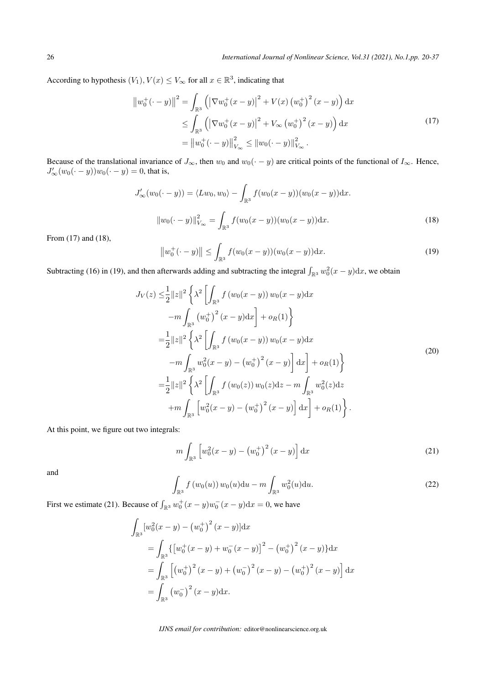According to hypothesis  $(V_1)$ ,  $V(x) \leq V_\infty$  for all  $x \in \mathbb{R}^3$ , indicating that

$$
\|w_0^+(\cdot - y)\|^2 = \int_{\mathbb{R}^3} \left( \left|\nabla w_0^+(x - y)\right|^2 + V(x) \left(w_0^+\right)^2 (x - y)\right) dx
$$
  
\n
$$
\leq \int_{\mathbb{R}^3} \left( \left|\nabla w_0^+(x - y)\right|^2 + V_\infty \left(w_0^+\right)^2 (x - y)\right) dx
$$
  
\n
$$
= \left\|w_0^+(\cdot - y)\right\|_{V_\infty}^2 \leq \|w_0(\cdot - y)\|_{V_\infty}^2.
$$
\n(17)

Because of the translational invariance of  $J_{\infty}$ , then  $w_0$  and  $w_0(\cdot - y)$  are critical points of the functional of  $I_{\infty}$ . Hence,  $J'_{\infty}(w_0(\cdot - y))w_0(\cdot - y) = 0$ , that is,

$$
J'_{\infty}(w_0(\cdot - y)) = \langle Lw_0, w_0 \rangle - \int_{\mathbb{R}^3} f(w_0(x - y))(w_0(x - y))dx.
$$
  

$$
||w_0(\cdot - y)||_{V_{\infty}}^2 = \int_{\mathbb{R}^3} f(w_0(x - y))(w_0(x - y))dx.
$$
 (18)

From (17) and (18),

$$
\|w_0^+(\cdot - y)\| \le \int_{\mathbb{R}^3} f(w_0(x - y))(w_0(x - y)) \mathrm{d}x. \tag{19}
$$

Subtracting (16) in (19), and then afterwards adding and subtracting the integral  $\int_{\mathbb{R}^3} w_0^2(x-y) dx$ , we obtain

$$
J_V(z) \leq \frac{1}{2} ||z||^2 \left\{ \lambda^2 \left[ \int_{\mathbb{R}^3} f(w_0(x - y)) w_0(x - y) dx \right. \\ -m \int_{\mathbb{R}^3} (w_0^+)^2 (x - y) dx \right] + o_R(1) \right\}
$$
  
\n
$$
= \frac{1}{2} ||z||^2 \left\{ \lambda^2 \left[ \int_{\mathbb{R}^3} f(w_0(x - y)) w_0(x - y) dx \right. \\ -m \int_{\mathbb{R}^3} w_0^2 (x - y) - (w_0^+)^2 (x - y) dx \right] + o_R(1) \right\}
$$
  
\n
$$
= \frac{1}{2} ||z||^2 \left\{ \lambda^2 \left[ \int_{\mathbb{R}^3} f(w_0(z)) w_0(z) dz - m \int_{\mathbb{R}^3} w_0^2(z) dz \right. \\ +m \int_{\mathbb{R}^3} \left[ w_0^2 (x - y) - (w_0^+)^2 (x - y) \right] dx \right] + o_R(1) \right\}.
$$
 (20)

At this point, we figure out two integrals:

$$
m\int_{\mathbb{R}^3} \left[ w_0^2(x-y) - \left( w_0^+ \right)^2 (x-y) \right] \mathrm{d}x \tag{21}
$$

and

$$
\int_{\mathbb{R}^3} f(w_0(u)) w_0(u) \mathrm{d}u - m \int_{\mathbb{R}^3} w_0^2(u) \mathrm{d}u.
$$
 (22)

First we estimate (21). Because of  $\int_{\mathbb{R}^3} w_0^+(x-y)w_0^-(x-y)dx = 0$ , we have

$$
\int_{\mathbb{R}^3} \left[ w_0^2(x - y) - \left( w_0^+ \right)^2 (x - y) \right] dx
$$
\n
$$
= \int_{\mathbb{R}^3} \left\{ \left[ w_0^+(x - y) + w_0^-(x - y) \right]^2 - \left( w_0^+ \right)^2 (x - y) \right\} dx
$$
\n
$$
= \int_{\mathbb{R}^3} \left[ \left( w_0^+ \right)^2 (x - y) + \left( w_0^- \right)^2 (x - y) - \left( w_0^+ \right)^2 (x - y) \right] dx
$$
\n
$$
= \int_{\mathbb{R}^3} \left( w_0^- \right)^2 (x - y) dx.
$$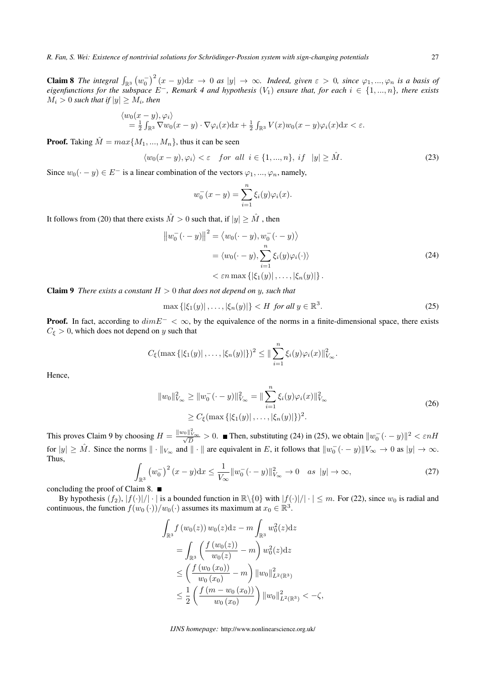*R. Fan, S. Wei: Existence of nontrivial solutions for Schrodinger-Possion system with sign-changing potentials ¨* 27

**Claim 8** The integral  $\int_{\mathbb{R}^3} (w_0^{\perp})^2 (x - y) dx \to 0$  as  $|y| \to \infty$ . Indeed, given  $\varepsilon > 0$ , since  $\varphi_1, ..., \varphi_n$  is a basis of *eigenfunctions for the subspace E−, Remark 4 and hypothesis* (*V*1) *ensure that, for each i ∈ {*1*, ..., n}, there exists*  $M_i > 0$  such that if  $|y| \ge M_i$ , then

$$
\langle w_0(x-y), \varphi_i \rangle = \frac{1}{2} \int_{\mathbb{R}^3} \nabla w_0(x-y) \cdot \nabla \varphi_i(x) dx + \frac{1}{2} \int_{\mathbb{R}^3} V(x) w_0(x-y) \varphi_i(x) dx < \varepsilon.
$$

**Proof.** Taking  $\hat{M} = max\{M_1, ..., M_n\}$ , thus it can be seen

$$
\langle w_0(x-y), \varphi_i \rangle < \varepsilon \quad \text{for all } i \in \{1, ..., n\}, \quad \text{if } |y| \ge \hat{M}. \tag{23}
$$

Since  $w_0(\cdot - y) \in E^-$  is a linear combination of the vectors  $\varphi_1, ..., \varphi_n$ , namely,

$$
w_0^-(x - y) = \sum_{i=1}^n \xi_i(y)\varphi_i(x).
$$

It follows from (20) that there exists  $\hat{M} > 0$  such that, if  $|y| \geq \hat{M}$ , then

$$
\|w_0^-(\cdot - y)\|^2 = \langle w_0(\cdot - y), w_0^-(\cdot - y)\rangle
$$
  
=  $\langle w_0(\cdot - y), \sum_{i=1}^n \xi_i(y)\varphi_i(\cdot)\rangle$   
<  $\varepsilon n \max \{|\xi_1(y)|, \dots, |\xi_n(y)|\}.$  (24)

Claim 9 *There exists a constant H >* 0 *that does not depend on y, such that*

$$
\max\left\{ |\xi_1(y)|, \dots, |\xi_n(y)| \right\} < H \text{ for all } y \in \mathbb{R}^3. \tag{25}
$$

**Proof.** In fact, according to  $dimE^- < \infty$ , by the equivalence of the norms in a finite-dimensional space, there exists  $C_{\xi} > 0$ , which does not depend on *y* such that

$$
C_{\xi}(\max\{|\xi_1(y)|,\ldots,|\xi_n(y)|\})^2 \leq \|\sum_{i=1}^n \xi_i(y)\varphi_i(x)\|_{V_{\infty}}^2.
$$

Hence,

$$
||w_0||_{V_{\infty}}^2 \ge ||w_0^-(\cdot - y)||_{V_{\infty}}^2 = ||\sum_{i=1}^n \xi_i(y)\varphi_i(x)||_{V_{\infty}}^2
$$
  
\n
$$
\ge C_{\xi}(\max\{|\xi_1(y)|,\dots,|\xi_n(y)|\})^2.
$$
\n(26)

This proves Claim 9 by choosing  $H = \frac{\|w_0\|_{V_{\infty}}^2}{\sqrt{D}} > 0$ . Then, substituting (24) in (25), we obtain  $\|w_0^-(\cdot - y)\|^2 < \varepsilon nH$ for  $|y| \geq M$ . Since the norms  $\|\cdot\|_{V_{\infty}}$  and  $\|\cdot\|$  are equivalent in E, it follows that  $\|w_0^-(\cdot - y)\|_{V_{\infty}} \to 0$  as  $|y| \to \infty$ . Thus,

$$
\int_{\mathbb{R}^3} \left( w_0^- \right)^2 (x - y) dx \le \frac{1}{V_{\infty}} \| w_0^- (\cdot - y) \|_{V_{\infty}}^2 \to 0 \quad \text{as } |y| \to \infty,
$$
\n(27)

concluding the proof of Claim 8.

By hypothesis  $(f_2)$ ,  $|f(\cdot)|/|\cdot|$  is a bounded function in  $\mathbb{R}\setminus\{0\}$  with  $|f(\cdot)|/|\cdot| \leq m$ . For (22), since  $w_0$  is radial and continuous, the function  $f(w_0(\cdot))/w_0(\cdot)$  assumes its maximum at  $x_0 \in \mathbb{R}^3$ .

$$
\int_{\mathbb{R}^3} f(w_0(z)) w_0(z) dz - m \int_{\mathbb{R}^3} w_0^2(z) dz
$$
\n
$$
= \int_{\mathbb{R}^3} \left( \frac{f(w_0(z))}{w_0(z)} - m \right) w_0^2(z) dz
$$
\n
$$
\leq \left( \frac{f(w_0(x_0))}{w_0(x_0)} - m \right) ||w_0||_{L^2(\mathbb{R}^3)}^2
$$
\n
$$
\leq \frac{1}{2} \left( \frac{f(m - w_0(x_0))}{w_0(x_0)} \right) ||w_0||_{L^2(\mathbb{R}^3)}^2 < -\zeta,
$$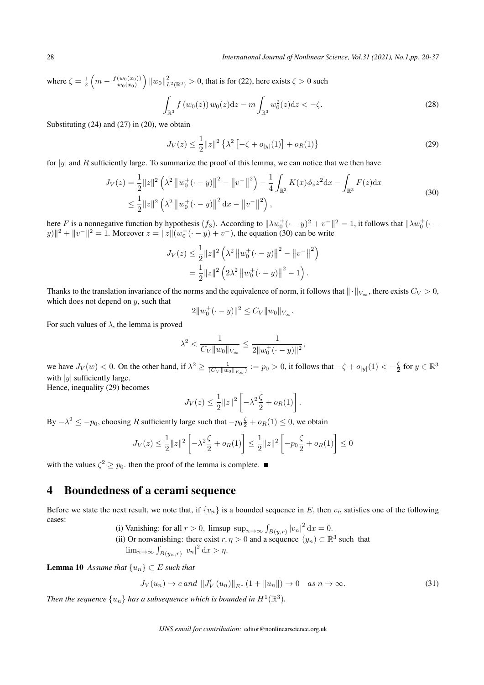where  $\zeta = \frac{1}{2}$  $\left(m - \frac{f(w_0(x_0))}{w_0(x_0)}\right)$  $w_0(x_0)$  $\int ||w_0||^2_{L^2(\mathbb{R}^3)}$  > 0, that is for (22), here exists *ζ* > 0 such

$$
\int_{\mathbb{R}^3} f(w_0(z)) w_0(z) dz - m \int_{\mathbb{R}^3} w_0^2(z) dz < -\zeta.
$$
\n(28)

Substituting (24) and (27) in (20), we obtain

$$
J_V(z) \le \frac{1}{2} \|z\|^2 \left\{ \lambda^2 \left[ -\zeta + o_{|y|}(1) \right] + o_R(1) \right\} \tag{29}
$$

for *|y|* and *R* sufficiently large. To summarize the proof of this lemma, we can notice that we then have

$$
J_V(z) = \frac{1}{2} ||z||^2 \left(\lambda^2 ||w_0^+(\cdot - y)||^2 - ||v^-||^2\right) - \frac{1}{4} \int_{\mathbb{R}^3} K(x) \phi_z z^2 dx - \int_{\mathbb{R}^3} F(z) dx
$$
  

$$
\leq \frac{1}{2} ||z||^2 \left(\lambda^2 ||w_0^+(\cdot - y)||^2 dx - ||v^-||^2\right),
$$
 (30)

here *F* is a nonnegative function by hypothesis  $(f_3)$ . According to  $\|\lambda w_0^+ (\cdot - y)^2 + v^-\|^2 = 1$ , it follows that  $\|\lambda w_0^+ (\cdot - y)^2 + v^-\|^2 = 1$  $|y||^2 + |y|^{-2} = 1$ . Moreover  $z = ||z|| (w_0^+ (-y) + v^-)$ , the equation (30) can be write

$$
J_V(z) \leq \frac{1}{2} ||z||^2 \left(\lambda^2 ||w_0^+(\cdot - y)||^2 - ||v^-||^2\right)
$$
  
= 
$$
\frac{1}{2} ||z||^2 \left(2\lambda^2 ||w_0^+(\cdot - y)||^2 - 1\right).
$$

Thanks to the translation invariance of the norms and the equivalence of norm, it follows that  $\|\cdot\|_{V_\infty}$ , there exists  $C_V > 0$ , which does not depend on *y*, such that

$$
2||w_0^+(\cdot - y)||^2 \leq C_V ||w_0||_{V_{\infty}}.
$$

For such values of  $\lambda$ , the lemma is proved

$$
\lambda^2 < \frac{1}{C_V \|w_0\|_{V_\infty}} \le \frac{1}{2\|w_0^+(\cdot - y)\|^2},
$$

we have  $J_V(w) < 0$ . On the other hand, if  $\lambda^2 \ge \frac{1}{(C_V || w_0 ||_{V_\infty})} := p_0 > 0$ , it follows that  $-\zeta + o_{|y|}(1) < -\frac{\zeta}{2}$  for  $y \in \mathbb{R}^3$ with *|y|* sufficiently large.

Hence, inequality (29) becomes

$$
J_V(z) \leq \frac{1}{2} ||z||^2 \left[ -\lambda^2 \frac{\zeta}{2} + o_R(1) \right].
$$

By  $-\lambda^2 \le -p_0$ , choosing *R* sufficiently large such that  $-p_0 \frac{\zeta}{2} + o_R(1) \le 0$ , we obtain

$$
J_V(z) \le \frac{1}{2} ||z||^2 \left[ -\lambda^2 \frac{\zeta}{2} + o_R(1) \right] \le \frac{1}{2} ||z||^2 \left[ -p_0 \frac{\zeta}{2} + o_R(1) \right] \le 0
$$

with the values  $\zeta^2 \geq p_0$ . then the proof of the lemma is complete.

# 4 Boundedness of a cerami sequence

Before we state the next result, we note that, if  $\{v_n\}$  is a bounded sequence in *E*, then  $v_n$  satisfies one of the following cases:

- (i) Vanishing: for all  $r > 0$ , limsup  $\sup_{n \to \infty} \int_{B(y,r)} |v_n|^2 dx = 0$ .
- (ii) Or nonvanishing: there exist  $r, \eta > 0$  and a sequence  $(y_n) \subset \mathbb{R}^3$  such that  $\lim_{n \to \infty} \int_{B(y_n,r)} |v_n|^2 dx > \eta.$

**Lemma 10** *Assume that*  $\{u_n\}$  ⊂ *E such that* 

$$
J_V(u_n) \to c \text{ and } ||J'_V(u_n)||_{E^*} (1 + ||u_n||) \to 0 \quad \text{as } n \to \infty.
$$
 (31)

Then the sequence  $\{u_n\}$  has a subsequence which is bounded in  $H^1(\mathbb{R}^3)$ .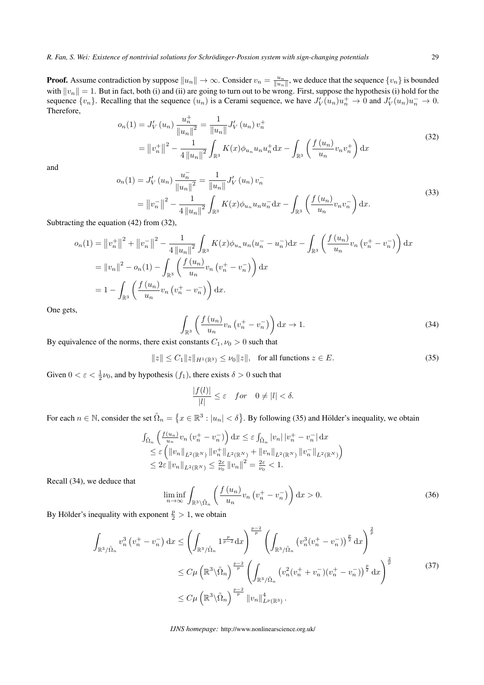**Proof.** Assume contradiction by suppose  $||u_n|| \to \infty$ . Consider  $v_n = \frac{u_n}{||u_n||}$ , we deduce that the sequence  $\{v_n\}$  is bounded with  $||v_n|| = 1$ . But in fact, both (i) and (ii) are going to turn out to be wrong. First, suppose the hypothesis (i) hold for the sequence  $\{v_n\}$ . Recalling that the sequence  $(u_n)$  is a Cerami sequence, we have  $J_V'(u_n)u_n^+ \to 0$  and  $J_V'(u_n)u_n^- \to 0$ . Therefore,

$$
o_n(1) = J'_V(u_n) \frac{u_n^+}{\|u_n\|^2} = \frac{1}{\|u_n\|} J'_V(u_n) v_n^+
$$
  
=  $\left\|v_n^+\right\|^2 - \frac{1}{4\left\|u_n\right\|^2} \int_{\mathbb{R}^3} K(x) \phi_{u_n} u_n u_n^+ \,dx - \int_{\mathbb{R}^3} \left(\frac{f(u_n)}{u_n} v_n v_n^+\right) \,dx$  (32)

and

$$
o_n(1) = J'_V(u_n) \frac{u_n^-}{\|u_n\|^2} = \frac{1}{\|u_n\|} J'_V(u_n) v_n^-
$$
  
=  $\left\|v_n^-\right\|^2 - \frac{1}{4\left\|u_n\right\|^2} \int_{\mathbb{R}^3} K(x) \phi_{u_n} u_n u_n^- \, dx - \int_{\mathbb{R}^3} \left(\frac{f(u_n)}{u_n} v_n v_n^-\right) \, dx.$  (33)

Subtracting the equation (42) from (32),

$$
o_n(1) = ||v_n^+||^2 + ||v_n^-||^2 - \frac{1}{4||u_n||^2} \int_{\mathbb{R}^3} K(x)\phi_{u_n}u_n(u_n^- - u_n^-)dx - \int_{\mathbb{R}^3} \left(\frac{f(u_n)}{u_n}v_n(v_n^+ - v_n^-)\right)dx
$$
  
=  $||v_n||^2 - o_n(1) - \int_{\mathbb{R}^3} \left(\frac{f(u_n)}{u_n}v_n(v_n^+ - v_n^-)\right)dx$   
=  $1 - \int_{\mathbb{R}^3} \left(\frac{f(u_n)}{u_n}v_n(v_n^+ - v_n^-)\right)dx$ .

One gets,

$$
\int_{\mathbb{R}^3} \left( \frac{f(u_n)}{u_n} v_n \left( v_n^+ - v_n^- \right) \right) dx \to 1. \tag{34}
$$

By equivalence of the norms, there exist constants  $C_1$ ,  $\nu_0 > 0$  such that

$$
||z|| \le C_1 ||z||_{H^1(\mathbb{R}^3)} \le \nu_0 ||z||, \text{ for all functions } z \in E.
$$
 (35)

Given  $0 < \varepsilon < \frac{1}{2}\nu_0$ , and by hypothesis  $(f_1)$ , there exists  $\delta > 0$  such that

$$
\frac{|f(l)|}{|l|} \le \varepsilon \quad for \quad 0 \neq |l| < \delta.
$$

For each  $n \in \mathbb{N}$ , consider the set  $\tilde{\Omega}_n = \{x \in \mathbb{R}^3 : |u_n| < \delta\}$ . By following (35) and Hölder's inequality, we obtain

$$
\begin{split} &\int_{\tilde{\Omega}_{n}}\left(\frac{f(u_{n})}{u_{n}}v_{n}\left(v_{n}^{+}-v_{n}^{-}\right)\right)\mathrm{d}x \leq \varepsilon\int_{\tilde{\Omega}_{n}}|v_{n}|\left|v_{n}^{+}-v_{n}^{-}\right|\mathrm{d}x\\ &\leq \varepsilon\left(\left\|v_{n}\right\|_{L^{2}(\mathbb{R}^{N})}\left\|v_{n}^{+}\right\|_{L^{2}(\mathbb{R}^{N})}+\left\|v_{n}\right\|_{L^{2}(\mathbb{R}^{N})}\left\|v_{n}^{-}\right\|_{L^{2}(\mathbb{R}^{N})}\right)\\ &\leq 2\varepsilon\left\|v_{n}\right\|_{L^{2}(\mathbb{R}^{N})} \leq \frac{2\varepsilon}{\nu_{0}}\left\|v_{n}\right\|^{2}=\frac{2\varepsilon}{\nu_{0}}<1. \end{split}
$$

Recall (34), we deduce that

$$
\liminf_{n \to \infty} \int_{\mathbb{R}^3 \setminus \tilde{\Omega}_n} \left( \frac{f(u_n)}{u_n} v_n \left( v_n^+ - v_n^- \right) \right) dx > 0. \tag{36}
$$

By Hölder's inequality with exponent  $\frac{p}{2} > 1$ , we obtain

$$
\int_{\mathbb{R}^3/\tilde{\Omega}_n} v_n^3 \left(v_n^+ - v_n^-\right) dx \le \left(\int_{\mathbb{R}^3/\tilde{\Omega}_n} 1^{\frac{p}{p-2}} dx\right)^{\frac{p-2}{p}} \left(\int_{\mathbb{R}^3/\tilde{\Omega}_n} \left(v_n^3 (v_n^+ - v_n^-\right)\right)^{\frac{p}{2}} dx\right)^{\frac{2}{p}} \n\le C\mu \left(\mathbb{R}^3 \setminus \tilde{\Omega}_n\right)^{\frac{p-2}{p}} \left(\int_{\mathbb{R}^3/\tilde{\Omega}_n} \left(v_n^2 (v_n^+ + v_n^-(v_n^+ - v_n^-)\right)^{\frac{p}{2}} dx\right)^{\frac{2}{p}} \n\le C\mu \left(\mathbb{R}^3 \setminus \tilde{\Omega}_n\right)^{\frac{p-2}{p}} \|v_n\|_{L^p(\mathbb{R}^3)}^4.
$$
\n(37)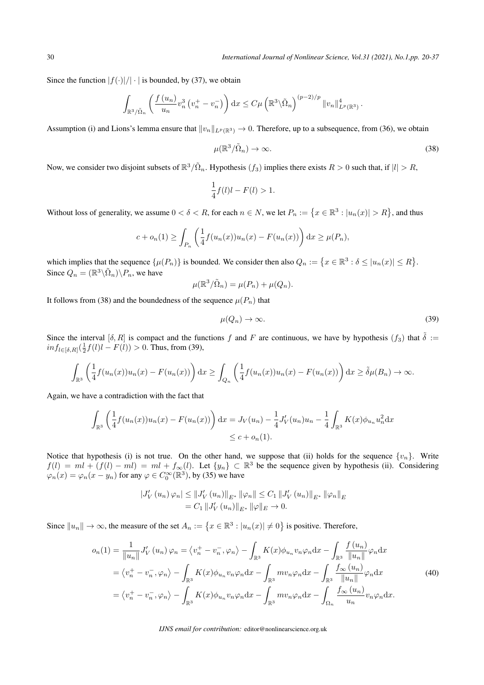Since the function  $|f(\cdot)|/|\cdot|$  is bounded, by (37), we obtain

$$
\int_{\mathbb{R}^3/\tilde{\Omega}_n} \left( \frac{f(u_n)}{u_n} v_n^3 \left( v_n^+ - v_n^- \right) \right) dx \leq C \mu \left( \mathbb{R}^3 \backslash \tilde{\Omega}_n \right)^{(p-2)/p} ||v_n||_{L^p(\mathbb{R}^3)}^4.
$$

Assumption (i) and Lions's lemma ensure that  $||v_n||_{L^p(\mathbb{R}^3)} \to 0$ . Therefore, up to a subsequence, from (36), we obtain

$$
\mu(\mathbb{R}^3/\tilde{\Omega}_n) \to \infty. \tag{38}
$$

Now, we consider two disjoint subsets of  $\mathbb{R}^3/\tilde{\Omega}_n$ . Hypothesis  $(f_3)$  implies there exists  $R > 0$  such that, if  $|l| > R$ ,

$$
\frac{1}{4}f(l)l - F(l) > 1.
$$

Without loss of generality, we assume  $0 < \delta < R$ , for each  $n \in N$ , we let  $P_n := \{x \in \mathbb{R}^3 : |u_n(x)| > R\}$ , and thus

$$
c + o_n(1) \ge \int_{P_n} \left( \frac{1}{4} f(u_n(x)) u_n(x) - F(u_n(x)) \right) dx \ge \mu(P_n),
$$

which implies that the sequence  $\{\mu(P_n)\}$  is bounded. We consider then also  $Q_n := \{x \in \mathbb{R}^3 : \delta \leq |u_n(x)| \leq R\}$ . Since  $Q_n = (\mathbb{R}^3 \backslash \tilde{\Omega}_n) \backslash P_n$ , we have

$$
\mu(\mathbb{R}^3/\tilde{\Omega}_n) = \mu(P_n) + \mu(Q_n).
$$

It follows from (38) and the boundedness of the sequence  $\mu(P_n)$  that

$$
\mu(Q_n) \to \infty. \tag{39}
$$

Since the interval  $[\delta, R]$  is compact and the functions *f* and *F* are continuous, we have by hypothesis  $(f_3)$  that  $\tilde{\delta}$  :=  $inf_{l \in [\delta, R]}(\frac{1}{2}f(l)l - F(l)) > 0$ . Thus, from (39),

$$
\int_{\mathbb{R}^3} \left( \frac{1}{4} f(u_n(x)) u_n(x) - F(u_n(x)) \right) dx \ge \int_{Q_n} \left( \frac{1}{4} f(u_n(x)) u_n(x) - F(u_n(x)) \right) dx \ge \tilde{\delta} \mu(B_n) \to \infty.
$$

Again, we have a contradiction with the fact that

$$
\int_{\mathbb{R}^3} \left( \frac{1}{4} f(u_n(x)) u_n(x) - F(u_n(x)) \right) dx = J_V(u_n) - \frac{1}{4} J'_V(u_n) u_n - \frac{1}{4} \int_{\mathbb{R}^3} K(x) \phi_{u_n} u_n^2 dx
$$
  

$$
\leq c + o_n(1).
$$

Notice that hypothesis (i) is not true. On the other hand, we suppose that (ii) holds for the sequence  $\{v_n\}$ . Write  $f(l) = ml + (f(l) - ml) = ml + f_{\infty}(l)$ . Let  $\{y_n\} \subset \mathbb{R}^3$  be the sequence given by hypothesis (ii). Considering  $\varphi_n(x) = \varphi_n(x - y_n)$  for any  $\varphi \in C_0^{\infty}(\mathbb{R}^3)$ , by (35) we have

$$
\begin{aligned} |J'_{V}(u_{n})\varphi_{n}| &\leq \|J'_{V}(u_{n})\|_{E^{*}} \|\varphi_{n}\| \leq C_{1} \|J'_{V}(u_{n})\|_{E^{*}} \|\varphi_{n}\|_{E^{*}} \\ &= C_{1} \|J'_{V}(u_{n})\|_{E^{*}} \|\varphi\|_{E} \to 0. \end{aligned}
$$

Since  $||u_n|| \to \infty$ , the measure of the set  $A_n := \{x \in \mathbb{R}^3 : |u_n(x)| \neq 0\}$  is positive. Therefore,

$$
o_n(1) = \frac{1}{\|u_n\|} J'_V(u_n) \varphi_n = \langle v_n^+ - v_n^-, \varphi_n \rangle - \int_{\mathbb{R}^3} K(x) \phi_{u_n} v_n \varphi_n dx - \int_{\mathbb{R}^3} \frac{f(u_n)}{\|u_n\|} \varphi_n dx
$$
  

$$
= \langle v_n^+ - v_n^-, \varphi_n \rangle - \int_{\mathbb{R}^3} K(x) \phi_{u_n} v_n \varphi_n dx - \int_{\mathbb{R}^3} m v_n \varphi_n dx - \int_{\mathbb{R}^3} \frac{f_\infty(u_n)}{\|u_n\|} \varphi_n dx
$$
  

$$
= \langle v_n^+ - v_n^-, \varphi_n \rangle - \int_{\mathbb{R}^3} K(x) \phi_{u_n} v_n \varphi_n dx - \int_{\mathbb{R}^3} m v_n \varphi_n dx - \int_{\Omega_n} \frac{f_\infty(u_n)}{u_n} v_n \varphi_n dx.
$$
 (40)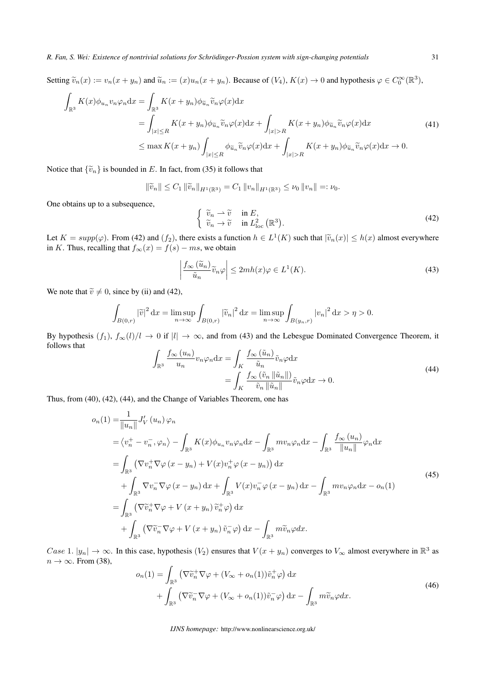Setting  $\tilde{v}_n(x) := v_n(x + y_n)$  and  $\tilde{u}_n := (x)u_n(x + y_n)$ . Because of  $(V_4)$ ,  $K(x) \to 0$  and hypothesis  $\varphi \in C_0^{\infty}(\mathbb{R}^3)$ ,

$$
\int_{\mathbb{R}^3} K(x)\phi_{u_n} v_n \varphi_n dx = \int_{\mathbb{R}^3} K(x + y_n)\phi_{\tilde{u}_n} \tilde{v}_n \varphi(x) dx
$$
\n
$$
= \int_{|x| \le R} K(x + y_n)\phi_{\tilde{u}_n} \tilde{v}_n \varphi(x) dx + \int_{|x| > R} K(x + y_n)\phi_{\tilde{u}_n} \tilde{v}_n \varphi(x) dx
$$
\n
$$
\le \max K(x + y_n) \int_{|x| \le R} \phi_{\tilde{u}_n} \tilde{v}_n \varphi(x) dx + \int_{|x| > R} K(x + y_n)\phi_{\tilde{u}_n} \tilde{v}_n \varphi(x) dx \to 0.
$$
\n(41)

Notice that  ${\tilde{v}_n}$  is bounded in *E*. In fact, from (35) it follows that

$$
\|\widetilde{v}_n\| \le C_1 \|\widetilde{v}_n\|_{H^1(\mathbb{R}^3)} = C_1 \|v_n\|_{H^1(\mathbb{R}^3)} \le \nu_0 \|v_n\| =: \nu_0.
$$

One obtains up to a subsequence,

$$
\begin{cases} \tilde{v}_n \rightharpoonup \tilde{v} & \text{in } E, \\ \tilde{v}_n \to \tilde{v} & \text{in } L^2_{\text{loc}}(\mathbb{R}^3). \end{cases}
$$
\n(42)

Let  $K = supp(\varphi)$ . From (42) and  $(f_2)$ , there exists a function  $h \in L^1(K)$  such that  $|\widetilde{v}_n(x)| \leq h(x)$  almost everywhere in *K*. Thus, recalling that  $f_{\infty}(x) = f(s) - ms$ , we obtain

$$
\left| \frac{f_{\infty}(\tilde{u}_n)}{\tilde{u}_n} \tilde{v}_n \varphi \right| \le 2mh(x)\varphi \in L^1(K). \tag{43}
$$

We note that  $\tilde{v} \neq 0$ , since by (ii) and (42),

$$
\int_{B(0,r)} |\widetilde{v}|^2 dx = \limsup_{n \to \infty} \int_{B(0,r)} |\widetilde{v}_n|^2 dx = \limsup_{n \to \infty} \int_{B(y_n,r)} |v_n|^2 dx > \eta > 0.
$$

By hypothesis  $(f_1)$ ,  $f_\infty(l)/l \to 0$  if  $|l| \to \infty$ , and from (43) and the Lebesgue Dominated Convergence Theorem, it follows that

$$
\int_{\mathbb{R}^3} \frac{f_{\infty}(u_n)}{u_n} v_n \varphi_n \, dx = \int_K \frac{f_{\infty}(\tilde{u}_n)}{\tilde{u}_n} \tilde{v}_n \varphi \, dx
$$
\n
$$
= \int_K \frac{f_{\infty}(\tilde{v}_n \left\| \tilde{u}_n \right\|)}{\tilde{v}_n \left\| \tilde{u}_n \right\|} \tilde{v}_n \varphi \, dx \to 0.
$$
\n(44)

Thus, from (40), (42), (44), and the Change of Variables Theorem, one has

$$
o_n(1) = \frac{1}{\|u_n\|} J'_V(u_n) \varphi_n
$$
  
\n
$$
= \langle v_n^+ - v_n^-, \varphi_n \rangle - \int_{\mathbb{R}^3} K(x) \varphi_{u_n} v_n \varphi_n dx - \int_{\mathbb{R}^3} m v_n \varphi_n dx - \int_{\mathbb{R}^3} \frac{f_\infty(u_n)}{\|u_n\|} \varphi_n dx
$$
  
\n
$$
= \int_{\mathbb{R}^3} (\nabla v_n^+ \nabla \varphi (x - y_n) + V(x) v_n^+ \varphi (x - y_n)) dx
$$
  
\n
$$
+ \int_{\mathbb{R}^3} \nabla v_n^- \nabla \varphi (x - y_n) dx + \int_{\mathbb{R}^3} V(x) v_n^- \varphi (x - y_n) dx - \int_{\mathbb{R}^3} m v_n \varphi_n dx - o_n(1)
$$
  
\n
$$
= \int_{\mathbb{R}^3} (\nabla \tilde{v}_n^+ \nabla \varphi + V(x + y_n) \tilde{v}_n^+ \varphi) dx
$$
  
\n
$$
+ \int_{\mathbb{R}^3} (\nabla \tilde{v}_n^- \nabla \varphi + V(x + y_n) \tilde{v}_n^- \varphi) dx - \int_{\mathbb{R}^3} m \tilde{v}_n \varphi dx.
$$
\n(45)

*Case* 1.  $|y_n| \to \infty$ . In this case, hypothesis  $(V_2)$  ensures that  $V(x + y_n)$  converges to  $V_\infty$  almost everywhere in  $\mathbb{R}^3$  as *n* → ∞. From (38),

$$
o_n(1) = \int_{\mathbb{R}^3} \left( \nabla \widetilde{v}_n^+ \nabla \varphi + (V_\infty + o_n(1)) \widetilde{v}_n^+ \varphi \right) dx + \int_{\mathbb{R}^3} \left( \nabla \widetilde{v}_n^- \nabla \varphi + (V_\infty + o_n(1)) \widetilde{v}_n^- \varphi \right) dx - \int_{\mathbb{R}^3} m \widetilde{v}_n \varphi dx.
$$
 (46)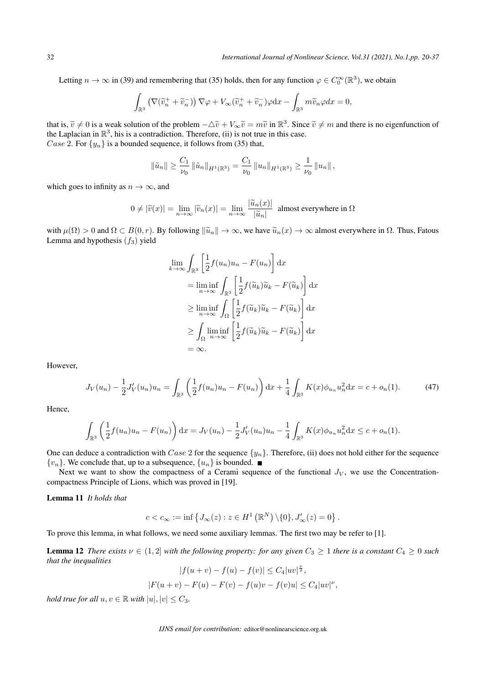Letting  $n \to \infty$  in (39) and remembering that (35) holds, then for any function  $\varphi \in C_0^{\infty}(\mathbb{R}^3)$ , we obtain

$$
\int_{\mathbb{R}^3} \left(\nabla (\widetilde v_n^++\widetilde v_n^-)\right) \nabla \varphi + V_\infty (\widetilde v_n^++\widetilde v_n^-)\varphi \mathrm{d} x - \int_{\mathbb{R}^3} m\widetilde v_n\varphi dx = 0,
$$

that is,  $\tilde{v} \neq 0$  is a weak solution of the problem  $-\Delta \tilde{v} + V_{\infty} \tilde{v} = m\tilde{v}$  in  $\mathbb{R}^3$ . Since  $\tilde{v} \neq m$  and there is no eigenfunction of the Laplacian in  $\mathbb{R}^3$ , his is a contradiction. Therefore, (ii) is not true in this case. *Case* 2. For  $\{y_n\}$  is a bounded sequence, it follows from (35) that,

$$
\|\tilde{u}_n\| \ge \frac{C_1}{\nu_0} \|\tilde{u}_n\|_{H^1(\mathbb{R}^3)} = \frac{C_1}{\nu_0} \|u_n\|_{H^1(\mathbb{R}^3)} \ge \frac{1}{\nu_0} \|u_n\|,
$$

which goes to infinity as  $n \to \infty$ , and

$$
0 \neq |\widetilde{v}(x)| = \lim_{n \to \infty} |\widetilde{v}_n(x)| = \lim_{n \to \infty} \frac{|\widetilde{u}_n(x)|}{|\widetilde{u}_n|}
$$
 almost everywhere in  $\Omega$ 

with  $\mu(\Omega) > 0$  and  $\Omega \subset B(0, r)$ . By following  $\|\tilde{u}_n\| \to \infty$ , we have  $\tilde{u}_n(x) \to \infty$  almost everywhere in  $\Omega$ . Thus, Fatous Lemma and hypothesis  $(f_3)$  yield

$$
\lim_{k \to \infty} \int_{\mathbb{R}^3} \left[ \frac{1}{2} f(u_n) u_n - F(u_n) \right] dx
$$
\n
$$
= \liminf_{n \to \infty} \int_{\mathbb{R}^3} \left[ \frac{1}{2} f(\tilde{u}_k) \tilde{u}_k - F(\tilde{u}_k) \right] dx
$$
\n
$$
\geq \liminf_{n \to \infty} \int_{\Omega} \left[ \frac{1}{2} f(\tilde{u}_k) \tilde{u}_k - F(\tilde{u}_k) \right] dx
$$
\n
$$
\geq \int_{\Omega} \liminf_{n \to \infty} \left[ \frac{1}{2} f(\tilde{u}_k) \tilde{u}_k - F(\tilde{u}_k) \right] dx
$$
\n
$$
= \infty.
$$

However,

$$
J_V(u_n) - \frac{1}{2} J'_V(u_n) u_n = \int_{\mathbb{R}^3} \left( \frac{1}{2} f(u_n) u_n - F(u_n) \right) dx + \frac{1}{4} \int_{\mathbb{R}^3} K(x) \phi_{u_n} u_n^2 dx = c + o_n(1).
$$
 (47)

Hence,

$$
\int_{\mathbb{R}^3} \left( \frac{1}{2} f(u_n) u_n - F(u_n) \right) dx = J_V(u_n) - \frac{1}{2} J'_V(u_n) u_n - \frac{1}{4} \int_{\mathbb{R}^3} K(x) \phi_{u_n} u_n^2 dx \le c + o_n(1).
$$

One can deduce a contradiction with *Case* 2 for the sequence *{yn}*. Therefore, (ii) does not hold either for the sequence  ${v_n}$ . We conclude that, up to a subsequence,  ${u_n}$  is bounded.

Next we want to show the compactness of a Cerami sequence of the functional  $J_V$ , we use the Concentrationcompactness Principle of Lions, which was proved in [19].

Lemma 11 *It holds that*

$$
c < c_{\infty} := \inf \left\{ J_{\infty}(z) : z \in H^1\left(\mathbb{R}^N\right) \backslash \{0\}, J'_{\infty}(z) = 0 \right\}.
$$

To prove this lemma, in what follows, we need some auxiliary lemmas. The first two may be refer to [1].

**Lemma 12** *There exists*  $\nu \in (1,2]$  *with the following property: for any given*  $C_3 \ge 1$  *there is a constant*  $C_4 \ge 0$  *such that the inequalities*

 $|f(u + v) - f(u) - f(v)| \leq C_4 |uv|^{\frac{\nu}{2}},$  $|F(u + v) - F(u) - F(v) - f(u)v - f(v)u| \le C_4|uv|^{\nu},$ 

*hold true for all*  $u, v \in \mathbb{R}$  *with*  $|u|, |v| \leq C_3$ .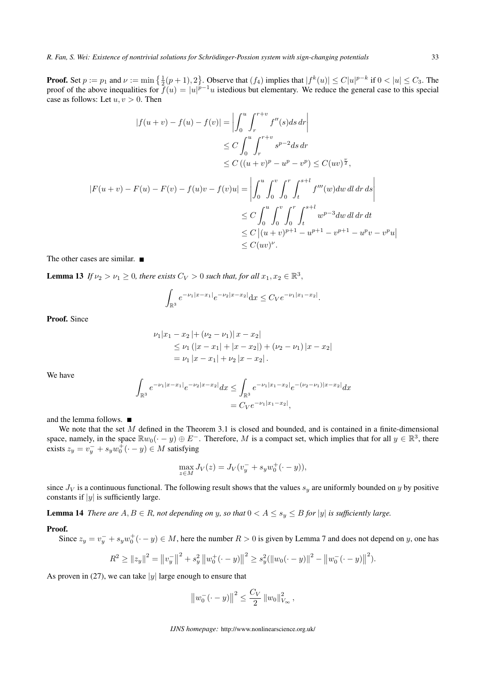**Proof.** Set  $p := p_1$  and  $\nu := \min\left\{\frac{1}{2}(p+1), 2\right\}$ . Observe that  $(f_4)$  implies that  $|f^k(u)| \le C|u|^{p-k}$  if  $0 < |u| \le C_3$ . The proof of the above inequalities for  $f(u) = |u|^{p-1}u$  istedious but elementary. We reduce the general case to this special case as follows: Let  $u, v > 0$ . Then

$$
|f(u + v) - f(u) - f(v)| = \left| \int_0^u \int_r^{r+v} f''(s)ds \, dr \right|
$$
  
\n
$$
\leq C \int_0^u \int_r^{r+v} s^{p-2} ds \, dr
$$
  
\n
$$
\leq C \left( (u + v)^p - u^p - v^p \right) \leq C(uv)^{\frac{\nu}{2}},
$$
  
\n
$$
|F(u + v) - F(u) - F(v) - f(u)v - f(v)u| = \left| \int_0^u \int_0^v \int_0^r \int_t^{s+l} f'''(w) dw \, dl \, dr \, ds \right|
$$
  
\n
$$
\leq C \int_0^u \int_0^v \int_0^r \int_t^{s+l} w^{p-3} dw \, dl \, dr \, dt
$$
  
\n
$$
\leq C |(u + v)^{p+1} - u^{p+1} - v^{p+1} - u^p v - v^p u|
$$
  
\n
$$
\leq C(uv)^{\nu}.
$$

The other cases are similar. ■

**Lemma 13** *If*  $\nu_2 > \nu_1 \geq 0$ , there exists  $C_V > 0$  such that, for all  $x_1, x_2 \in \mathbb{R}^3$ ,

$$
\int_{\mathbb{R}^3} e^{-\nu_1 |x-x_1|} e^{-\nu_2 |x-x_2|} dx \leq C_V e^{-\nu_1 |x_1-x_2|}.
$$

Proof. Since

$$
\nu_1|x_1 - x_2| + (\nu_2 - \nu_1)|x - x_2|
$$
  
\n
$$
\leq \nu_1 (|x - x_1| + |x - x_2|) + (\nu_2 - \nu_1) |x - x_2|
$$
  
\n
$$
= \nu_1 |x - x_1| + \nu_2 |x - x_2|.
$$

We have

$$
\int_{\mathbb{R}^3} e^{-\nu_1 |x - x_1|} e^{-\nu_2 |x - x_2|} dx \le \int_{\mathbb{R}^3} e^{-\nu_1 |x_1 - x_2|} e^{-(\nu_2 - \nu_1)|x - x_2|} dx
$$
  
=  $C_V e^{-\nu_1 |x_1 - x_2|}$ ,

and the lemma follows.

We note that the set *M* defined in the Theorem 3.1 is closed and bounded, and is contained in a finite-dimensional space, namely, in the space  $\mathbb{R}w_0(\cdot - y) \oplus E^-$ . Therefore, M is a compact set, which implies that for all  $y \in \mathbb{R}^3$ , there exists  $z_y = v_y^- + s_y w_0^{\bar{+}}(\cdot - y) \in M$  satisfying

$$
\max_{z \in M} J_V(z) = J_V(v_y^- + s_y w_0^+(\cdot - y)),
$$

since  $J_V$  is a continuous functional. The following result shows that the values  $s_y$  are uniformly bounded on *y* by positive constants if *|y|* is sufficiently large.

**Lemma 14** There are  $A, B \in R$ , not depending on y, so that  $0 < A \leq s_y \leq B$  for |y| is sufficiently large.

#### Proof.

Since  $z_y = v_y^- + s_y w_0^+$  ( $\cdot - y$ )  $\in M$ , here the number  $R > 0$  is given by Lemma 7 and does not depend on *y*, one has

$$
R^{2} \geq ||z_{y}||^{2} = ||v_{y}^{-}||^{2} + s_{y}^{2} ||w_{0}^{+}(\cdot - y)||^{2} \geq s_{y}^{2} (||w_{0}(\cdot - y)||^{2} - ||w_{0}^{-}(\cdot - y)||^{2}).
$$

As proven in (27), we can take  $|y|$  large enough to ensure that

$$
||w_0^-(-y)||^2 \leq \frac{C_V}{2} ||w_0||^2_{V_{\infty}},
$$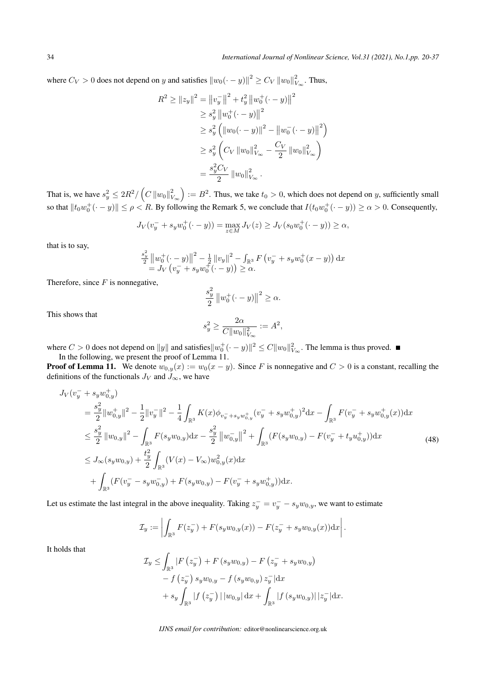34 *International Journal of Nonlinear Science, Vol.31 (2021), No.1,pp. 20-37*

where  $C_V > 0$  does not depend on *y* and satisfies  $||w_0(\cdot - y)||^2 \ge C_V ||w_0||_V^2$  $V^2$ <sup>∞</sup>. Thus,

$$
R^{2} \ge ||z_{y}||^{2} = ||v_{y}^{-}||^{2} + t_{y}^{2} ||w_{0}^{+}(\cdot - y)||^{2}
$$
  
\n
$$
\ge s_{y}^{2} ||w_{0}^{+}(\cdot - y)||^{2}
$$
  
\n
$$
\ge s_{y}^{2} (||w_{0}(\cdot - y)||^{2} - ||w_{0}^{-}(\cdot - y)||^{2})
$$
  
\n
$$
\ge s_{y}^{2} (C_{V} ||w_{0}||_{V_{\infty}}^{2} - \frac{C_{V}}{2} ||w_{0}||_{V_{\infty}}^{2})
$$
  
\n
$$
= \frac{s_{y}^{2} C_{V}}{2} ||w_{0}||_{V_{\infty}}^{2}.
$$

That is, we have  $s_y^2 \le 2R^2 / (C \, ||w_0||_{V_{\infty}}^2)$  $\big) := B^2$ . Thus, we take  $t_0 > 0$ , which does not depend on *y*, sufficiently small so that  $||t_0w_0^+(\cdot - y)|| \le \rho < R$ . By following the Remark 5, we conclude that  $I(t_0w_0^+(\cdot - y)) \ge \alpha > 0$ . Consequently,

$$
J_V(v_y^- + s_y w_0^+(\cdot - y)) = \max_{z \in M} J_V(z) \ge J_V(s_0 w_0^+(\cdot - y)) \ge \alpha,
$$

that is to say,

$$
\frac{s_y^2}{2} ||w_0^+(\cdot - y)||^2 - \frac{1}{2} ||v_y||^2 - \int_{\mathbb{R}^3} F(v_y^- + s_y w_0^+(x - y)) dx
$$
  
=  $J_V(v_y^- + s_y w_0^+(\cdot - y)) \ge \alpha$ .

Therefore, since *F* is nonnegative,

$$
\frac{s_y^2}{2} ||w_0^+(\cdot - y)||^2 \ge \alpha.
$$

This shows that

$$
s_y^2 \ge \frac{2\alpha}{C||w_0||_{V_{\infty}}^2} := A^2,
$$

where  $C > 0$  does not depend on  $||y||$  and satisfies  $||w_0^+ (\cdot - y)||^2 \leq C ||w_0||_{V_\infty}^2$ . The lemma is thus proved. In the following, we present the proof of Lemma 11.

**Proof of Lemma 11.** We denote  $w_{0,y}(x) := w_0(x - y)$ . Since *F* is nonnegative and  $C > 0$  is a constant, recalling the definitions of the functionals  $J_V$  and  $J_\infty$ , we have

$$
J_V(v_y^- + s_y w_{0,y}^+)
$$
  
\n
$$
= \frac{s_y^2}{2} ||w_{0,y}^+||^2 - \frac{1}{2} ||v_y^-||^2 - \frac{1}{4} \int_{\mathbb{R}^3} K(x) \phi_{v_y^- + s_y w_{0,y}^+} (v_y^- + s_y w_{0,y}^+)^2 dx - \int_{\mathbb{R}^3} F(v_y^- + s_y w_{0,y}^+ (x)) dx
$$
  
\n
$$
\leq \frac{s_y^2}{2} ||w_{0,y}||^2 - \int_{\mathbb{R}^3} F(s_y w_{0,y}) dx - \frac{s_y^2}{2} ||w_{0,y}^-||^2 + \int_{\mathbb{R}^3} (F(s_y w_{0,y}) - F(v_y^- + t_y u_{0,y}^+)) dx
$$
  
\n
$$
\leq J_\infty(s_y w_{0,y}) + \frac{t_y^2}{2} \int_{\mathbb{R}^3} (V(x) - V_\infty) w_{0,y}^2(x) dx
$$
  
\n
$$
+ \int_{\mathbb{R}^3} (F(v_y^- - s_y w_{0,y}^-) + F(s_y w_{0,y}) - F(v_y^- + s_y w_{0,y}^+)) dx.
$$
 (48)

Let us estimate the last integral in the above inequality. Taking  $z_y^- = v_y^- - s_y w_{0,y}$ , we want to estimate

$$
\mathcal{I}_y := \left| \int_{\mathbb{R}^3} F(z_y^-) + F(s_y w_{0,y}(x)) - F(z_y^- + s_y w_{0,y}(x)) \mathrm{d}x \right|.
$$

It holds that

$$
\mathcal{I}_y \le \int_{\mathbb{R}^3} |F(z_y^-) + F(s_y w_{0,y}) - F(z_y^- + s_y w_{0,y}) \n- f(z_y^-) s_y w_{0,y} - f(s_y w_{0,y}) z_y^- |dx \n+ s_y \int_{\mathbb{R}^3} |f(z_y^-)| |w_{0,y}| dx + \int_{\mathbb{R}^3} |f(s_y w_{0,y})| |z_y^-| dx.
$$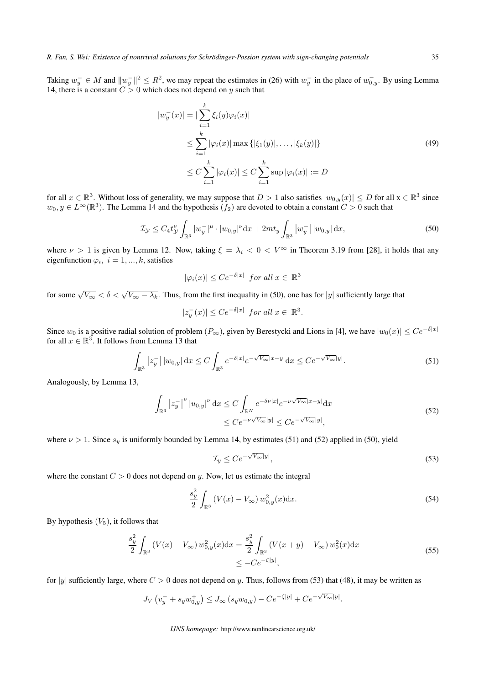Taking  $w_y^- \in M$  and  $||w_y^-||^2 \le R^2$ , we may repeat the estimates in (26) with  $w_y^-$  in the place of  $w_{0,y}^-$ . By using Lemma 14, there is a constant  $C > 0$  which does not depend on *y* such that

$$
|w_y^-(x)| = |\sum_{i=1}^k \xi_i(y)\varphi_i(x)|
$$
  
\n
$$
\leq \sum_{i=1}^k |\varphi_i(x)| \max\{|\xi_1(y)|, \dots, |\xi_k(y)|\}
$$
  
\n
$$
\leq C \sum_{i=1}^k |\varphi_i(x)| \leq C \sum_{i=1}^k \sup |\varphi_i(x)| := D
$$
\n(49)

for all  $x \in \mathbb{R}^3$ . Without loss of generality, we may suppose that  $D > 1$  also satisfies  $|w_{0,y}(x)| \le D$  for all  $x \in \mathbb{R}^3$  since  $w_0, y \in L^\infty(\mathbb{R}^3)$ . The Lemma 14 and the hypothesis  $(f_2)$  are devoted to obtain a constant  $C > 0$  such that

$$
\mathcal{I}_{\mathcal{Y}} \le C_4 t_{\mathcal{Y}}^{\nu} \int_{\mathbb{R}^3} |w_y^{-}|^{\mu} \cdot |w_{0,y}|^{\nu} dx + 2mt_y \int_{\mathbb{R}^3} |w_y^{-}| |w_{0,y}| dx,
$$
\n(50)

where  $\nu > 1$  is given by Lemma 12. Now, taking  $\xi = \lambda_i < 0 < V^\infty$  in Theorem 3.19 from [28], it holds that any eigenfunction  $\varphi_i$ ,  $i = 1, ..., k$ , satisfies

$$
|\varphi_i(x)| \le Ce^{-\delta|x|} \text{ for all } x \in \mathbb{R}^3
$$

for some  $\sqrt{V_{\infty}} < \delta < \sqrt{V_{\infty} - \lambda_k}$ . Thus, from the first inequality in (50), one has for *|y|* sufficiently large that

$$
|z_y^-(x)| \le Ce^{-\delta|x|} \text{ for all } x \in \mathbb{R}^3.
$$

Since  $w_0$  is a positive radial solution of problem  $(P_\infty)$ , given by Berestycki and Lions in [4], we have  $|w_0(x)| \le Ce^{-\delta|x|}$ for all  $x \in \mathbb{R}^3$ . It follows from Lemma 13 that

$$
\int_{\mathbb{R}^3} |z_y^-| \, |w_{0,y}| \, \mathrm{d}x \le C \int_{\mathbb{R}^3} e^{-\delta |x|} e^{-\sqrt{V_\infty} |x-y|} \mathrm{d}x \le C e^{-\sqrt{V_\infty} |y|}.\tag{51}
$$

Analogously, by Lemma 13,

$$
\int_{\mathbb{R}^3} |z_y^{-}|^{\nu} |u_{0,y}|^{\nu} dx \le C \int_{\mathbb{R}^N} e^{-\delta \nu |x|} e^{-\nu \sqrt{V_{\infty}} |x-y|} dx
$$
\n
$$
\le C e^{-\nu \sqrt{V_{\infty}} |y|} \le C e^{-\sqrt{V_{\infty}} |y|},
$$
\n(52)

where  $\nu > 1$ . Since  $s_y$  is uniformly bounded by Lemma 14, by estimates (51) and (52) applied in (50), yield

$$
\mathcal{I}_y \le C e^{-\sqrt{V_\infty}|y|},\tag{53}
$$

where the constant  $C > 0$  does not depend on *y*. Now, let us estimate the integral

$$
\frac{s_y^2}{2} \int_{\mathbb{R}^3} \left( V(x) - V_{\infty} \right) w_{0,y}^2(x) \mathrm{d}x. \tag{54}
$$

By hypothesis  $(V_5)$ , it follows that

$$
\frac{s_y^2}{2} \int_{\mathbb{R}^3} \left( V(x) - V_{\infty} \right) w_{0,y}^2(x) dx = \frac{s_y^2}{2} \int_{\mathbb{R}^3} \left( V(x+y) - V_{\infty} \right) w_0^2(x) dx
$$
\n
$$
\leq -Ce^{-\zeta|y|},
$$
\n(55)

for  $|y|$  sufficiently large, where  $C > 0$  does not depend on y. Thus, follows from (53) that (48), it may be written as

$$
J_V(v_y^- + s_y w_{0,y}^+) \le J_\infty(s_y w_{0,y}) - C e^{-\zeta|y|} + C e^{-\sqrt{V_\infty}|y|}.
$$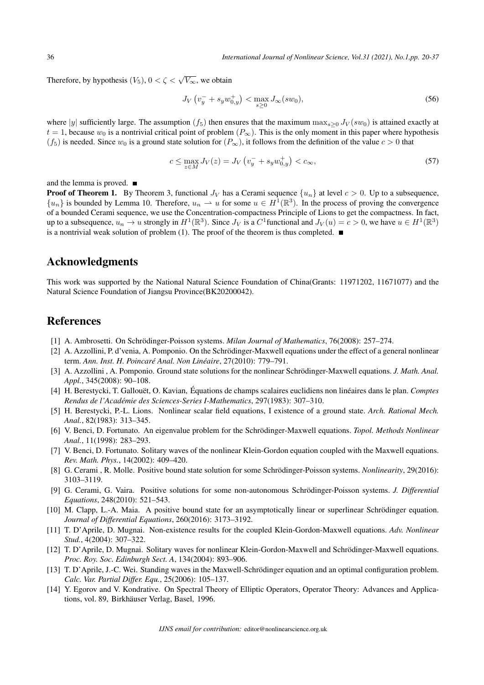Therefore, by hypothesis  $(V_5)$ ,  $0 < \zeta < \sqrt{V_{\infty}}$ , we obtain

$$
J_V \left( v_y^- + s_y w_{0,y}^+ \right) < \max_{s \ge 0} J_\infty(sw_0),\tag{56}
$$

where |*y*| sufficiently large. The assumption  $(f_5)$  then ensures that the maximum max $_{s>0} J_V(sw_0)$  is attained exactly at  $t = 1$ , because  $w_0$  is a nontrivial critical point of problem  $(P_\infty)$ . This is the only moment in this paper where hypothesis  $(f_5)$  is needed. Since  $w_0$  is a ground state solution for  $(P_\infty)$ , it follows from the definition of the value  $c > 0$  that

$$
c \le \max_{z \in M} J_V(z) = J_V \left( v_y^- + s_y w_{0,y}^+ \right) < c_\infty,\tag{57}
$$

and the lemma is proved.  $\blacksquare$ 

**Proof of Theorem 1.** By Theorem 3, functional  $J_V$  has a Cerami sequence  $\{u_n\}$  at level  $c > 0$ . Up to a subsequence,  ${u_n}$  is bounded by Lemma 10. Therefore,  $u_n \rightharpoonup u$  for some  $u \in H^1(\mathbb{R}^3)$ . In the process of proving the convergence of a bounded Cerami sequence, we use the Concentration-compactness Principle of Lions to get the compactness. In fact, up to a subsequence,  $u_n \to u$  strongly in  $H^1(\mathbb{R}^3)$ . Since  $J_V$  is a  $C^1$  functional and  $J_V(u) = c > 0$ , we have  $u \in H^1(\mathbb{R}^3)$ is a nontrivial weak solution of problem (1). The proof of the theorem is thus completed.  $\blacksquare$ 

### Acknowledgments

This work was supported by the National Natural Science Foundation of China(Grants: 11971202, 11671077) and the Natural Science Foundation of Jiangsu Province(BK20200042).

# **References**

- [1] A. Ambrosetti. On Schrodinger-Poisson systems. ¨ *Milan Journal of Mathematics*, 76(2008): 257–274.
- [2] A. Azzollini, P. d'venia, A. Pomponio. On the Schrödinger-Maxwell equations under the effect of a general nonlinear term. *Ann. Inst. H. Poincare Anal. Non Lin ´ eaire ´* , 27(2010): 779–791.
- [3] A. Azzollini, A. Pomponio. Ground state solutions for the nonlinear Schrödinger-Maxwell equations. *J. Math. Anal. Appl.*, 345(2008): 90–108.
- [4] H. Berestycki, T. Gallouët, O. Kavian, Équations de champs scalaires euclidiens non linéaires dans le plan. Comptes *Rendus de l'Academie des Sciences-Series I-Mathematics ´* , 297(1983): 307–310.
- [5] H. Berestycki, P.-L. Lions. Nonlinear scalar field equations, I existence of a ground state. *Arch. Rational Mech. Anal.*, 82(1983): 313–345.
- [6] V. Benci, D. Fortunato. An eigenvalue problem for the Schrödinger-Maxwell equations. *Topol. Methods Nonlinear Anal.*, 11(1998): 283–293.
- [7] V. Benci, D. Fortunato. Solitary waves of the nonlinear Klein-Gordon equation coupled with the Maxwell equations. *Rev. Math. Phys.*, 14(2002): 409–420.
- [8] G. Cerami , R. Molle. Positive bound state solution for some Schrödinger-Poisson systems. *Nonlinearity*, 29(2016): 3103–3119.
- [9] G. Cerami, G. Vaira. Positive solutions for some non-autonomous Schrödinger-Poisson systems. *J. Differential Equations*, 248(2010): 521–543.
- [10] M. Clapp, L.-A. Maia. A positive bound state for an asymptotically linear or superlinear Schrödinger equation. *Journal of Differential Equations*, 260(2016): 3173–3192.
- [11] T. D'Aprile, D. Mugnai. Non-existence results for the coupled Klein-Gordon-Maxwell equations. *Adv. Nonlinear Stud.*, 4(2004): 307–322.
- [12] T. D'Aprile, D. Mugnai. Solitary waves for nonlinear Klein-Gordon-Maxwell and Schrodinger-Maxwell equations. ¨ *Proc. Roy. Soc. Edinburgh Sect. A*, 134(2004): 893–906.
- [13] T. D'Aprile, J.-C. Wei. Standing waves in the Maxwell-Schrodinger equation and an optimal configuration problem. ¨ *Calc. Var. Partial Differ. Equ.*, 25(2006): 105–137.
- [14] Y. Egorov and V. Kondrative. On Spectral Theory of Elliptic Operators, Operator Theory: Advances and Applications, vol. 89, Birkhäuser Verlag, Basel, 1996.